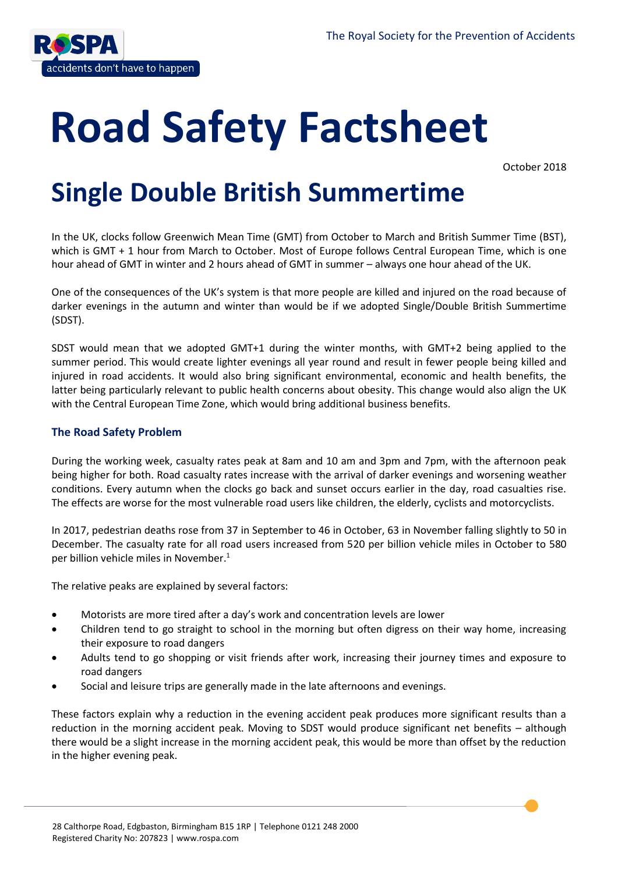

# **Road Safety Factsheet**

October 2018

# **Single Double British Summertime**

In the UK, clocks follow Greenwich Mean Time (GMT) from October to March and British Summer Time (BST), which is GMT + 1 hour from March to October. Most of Europe follows Central European Time, which is one hour ahead of GMT in winter and 2 hours ahead of GMT in summer – always one hour ahead of the UK.

One of the consequences of the UK's system is that more people are killed and injured on the road because of darker evenings in the autumn and winter than would be if we adopted Single/Double British Summertime (SDST).

SDST would mean that we adopted GMT+1 during the winter months, with GMT+2 being applied to the summer period. This would create lighter evenings all year round and result in fewer people being killed and injured in road accidents. It would also bring significant environmental, economic and health benefits, the latter being particularly relevant to public health concerns about obesity. This change would also align the UK with the Central European Time Zone, which would bring additional business benefits.

# **The Road Safety Problem**

During the working week, casualty rates peak at 8am and 10 am and 3pm and 7pm, with the afternoon peak being higher for both. Road casualty rates increase with the arrival of darker evenings and worsening weather conditions. Every autumn when the clocks go back and sunset occurs earlier in the day, road casualties rise. The effects are worse for the most vulnerable road users like children, the elderly, cyclists and motorcyclists.

In 2017, pedestrian deaths rose from 37 in September to 46 in October, 63 in November falling slightly to 50 in December. The casualty rate for all road users increased from 520 per billion vehicle miles in October to 580 per billion vehicle miles in November. 1

The relative peaks are explained by several factors:

- Motorists are more tired after a day's work and concentration levels are lower
- Children tend to go straight to school in the morning but often digress on their way home, increasing their exposure to road dangers
- Adults tend to go shopping or visit friends after work, increasing their journey times and exposure to road dangers
- Social and leisure trips are generally made in the late afternoons and evenings.

These factors explain why a reduction in the evening accident peak produces more significant results than a reduction in the morning accident peak. Moving to SDST would produce significant net benefits – although there would be a slight increase in the morning accident peak, this would be more than offset by the reduction in the higher evening peak.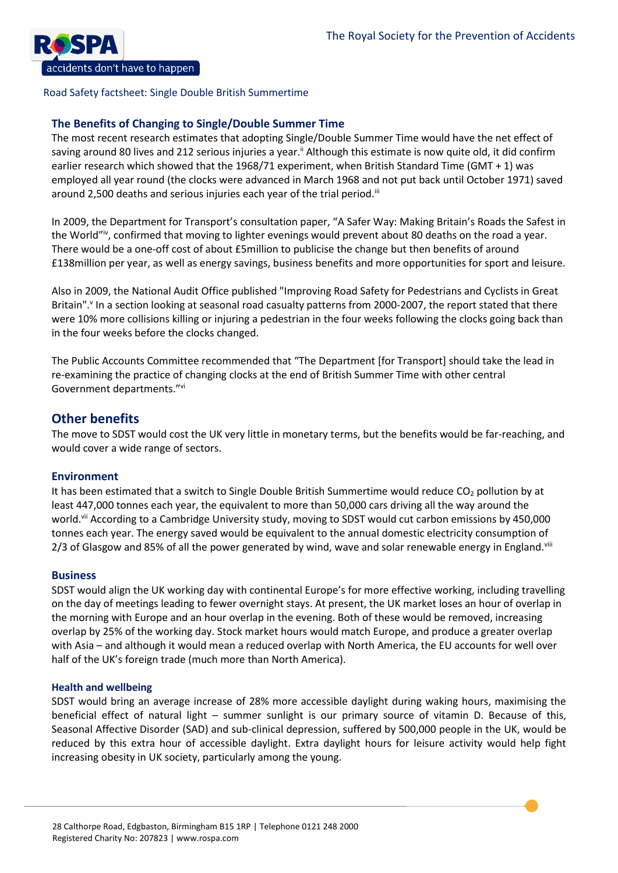

# **The Benefits of Changing to Single/Double Summer Time**

The most recent research estimates that adopting Single/Double Summer Time would have the net effect of saving around 80 lives and 212 serious injuries a year.<sup>ii</sup> Although this estimate is now quite old, it did confirm earlier research which showed that the 1968/71 experiment, when British Standard Time (GMT + 1) was employed all year round (the clocks were advanced in March 1968 and not put back until October 1971) saved around 2,500 deaths and serious injuries each year of the trial period.<sup>iii</sup>

In 2009, the Department for Transport's consultation paper, "A Safer Way: Making Britain's Roads the Safest in the World"iv, confirmed that moving to lighter evenings would prevent about 80 deaths on the road a year. There would be a one-off cost of about £5million to publicise the change but then benefits of around £138million per year, as well as energy savings, business benefits and more opportunities for sport and leisure.

Also in 2009, the National Audit Office published "Improving Road Safety for Pedestrians and Cyclists in Great Britain".<sup>v</sup> In a section looking at seasonal road casualty patterns from 2000-2007, the report stated that there were 10% more collisions killing or injuring a pedestrian in the four weeks following the clocks going back than in the four weeks before the clocks changed.

The Public Accounts Committee recommended that "The Department [for Transport] should take the lead in re-examining the practice of changing clocks at the end of British Summer Time with other central Government departments."vi

# **Other benefits**

The move to SDST would cost the UK very little in monetary terms, but the benefits would be far-reaching, and would cover a wide range of sectors.

# **Environment**

It has been estimated that a switch to Single Double British Summertime would reduce  $CO<sub>2</sub>$  pollution by at least 447,000 tonnes each year, the equivalent to more than 50,000 cars driving all the way around the world.<sup>vii</sup> According to a Cambridge University study, moving to SDST would cut carbon emissions by 450,000 tonnes each year. The energy saved would be equivalent to the annual domestic electricity consumption of 2/3 of Glasgow and 85% of all the power generated by wind, wave and solar renewable energy in England.  $\frac{1}{10}$ 

# **Business**

SDST would align the UK working day with continental Europe's for more effective working, including travelling on the day of meetings leading to fewer overnight stays. At present, the UK market loses an hour of overlap in the morning with Europe and an hour overlap in the evening. Both of these would be removed, increasing overlap by 25% of the working day. Stock market hours would match Europe, and produce a greater overlap with Asia – and although it would mean a reduced overlap with North America, the EU accounts for well over half of the UK's foreign trade (much more than North America).

# **Health and wellbeing**

SDST would bring an average increase of 28% more accessible daylight during waking hours, maximising the beneficial effect of natural light – summer sunlight is our primary source of vitamin D. Because of this, Seasonal Affective Disorder (SAD) and sub-clinical depression, suffered by 500,000 people in the UK, would be reduced by this extra hour of accessible daylight. Extra daylight hours for leisure activity would help fight increasing obesity in UK society, particularly among the young.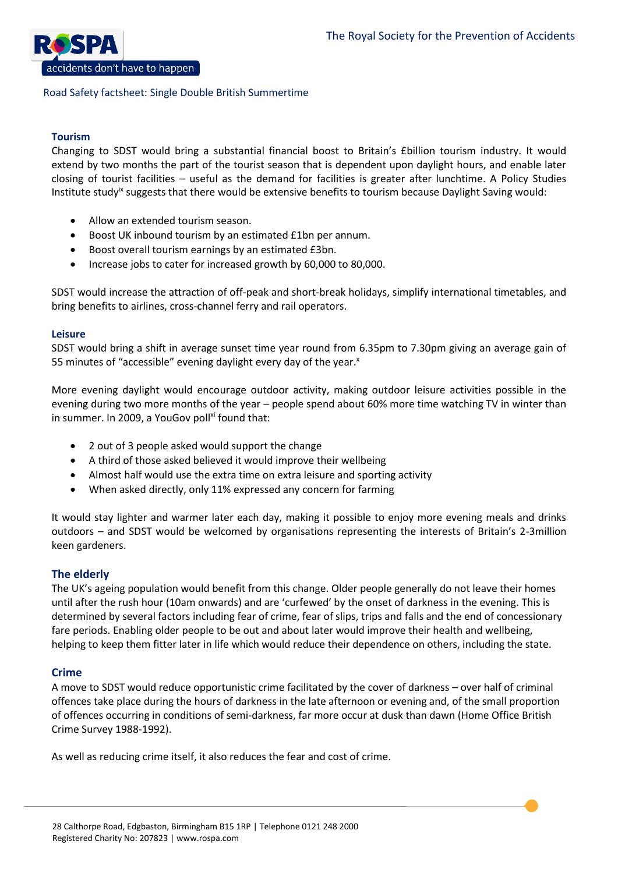

# **Tourism**

Changing to SDST would bring a substantial financial boost to Britain's £billion tourism industry. It would extend by two months the part of the tourist season that is dependent upon daylight hours, and enable later closing of tourist facilities – useful as the demand for facilities is greater after lunchtime. A Policy Studies Institute study<sup>ix</sup> suggests that there would be extensive benefits to tourism because Daylight Saving would:

- Allow an extended tourism season.
- Boost UK inbound tourism by an estimated £1bn per annum.
- Boost overall tourism earnings by an estimated £3bn.
- Increase jobs to cater for increased growth by 60,000 to 80,000.

SDST would increase the attraction of off-peak and short-break holidays, simplify international timetables, and bring benefits to airlines, cross-channel ferry and rail operators.

#### **Leisure**

SDST would bring a shift in average sunset time year round from 6.35pm to 7.30pm giving an average gain of 55 minutes of "accessible" evening daylight every day of the year.<sup>x</sup>

More evening daylight would encourage outdoor activity, making outdoor leisure activities possible in the evening during two more months of the year – people spend about 60% more time watching TV in winter than in summer. In 2009, a YouGov poll<sup>xi</sup> found that:

- 2 out of 3 people asked would support the change
- A third of those asked believed it would improve their wellbeing
- Almost half would use the extra time on extra leisure and sporting activity
- When asked directly, only 11% expressed any concern for farming

It would stay lighter and warmer later each day, making it possible to enjoy more evening meals and drinks outdoors – and SDST would be welcomed by organisations representing the interests of Britain's 2-3million keen gardeners.

# **The elderly**

The UK's ageing population would benefit from this change. Older people generally do not leave their homes until after the rush hour (10am onwards) and are 'curfewed' by the onset of darkness in the evening. This is determined by several factors including fear of crime, fear of slips, trips and falls and the end of concessionary fare periods. Enabling older people to be out and about later would improve their health and wellbeing, helping to keep them fitter later in life which would reduce their dependence on others, including the state.

# **Crime**

A move to SDST would reduce opportunistic crime facilitated by the cover of darkness – over half of criminal offences take place during the hours of darkness in the late afternoon or evening and, of the small proportion of offences occurring in conditions of semi-darkness, far more occur at dusk than dawn (Home Office British Crime Survey 1988-1992).

As well as reducing crime itself, it also reduces the fear and cost of crime.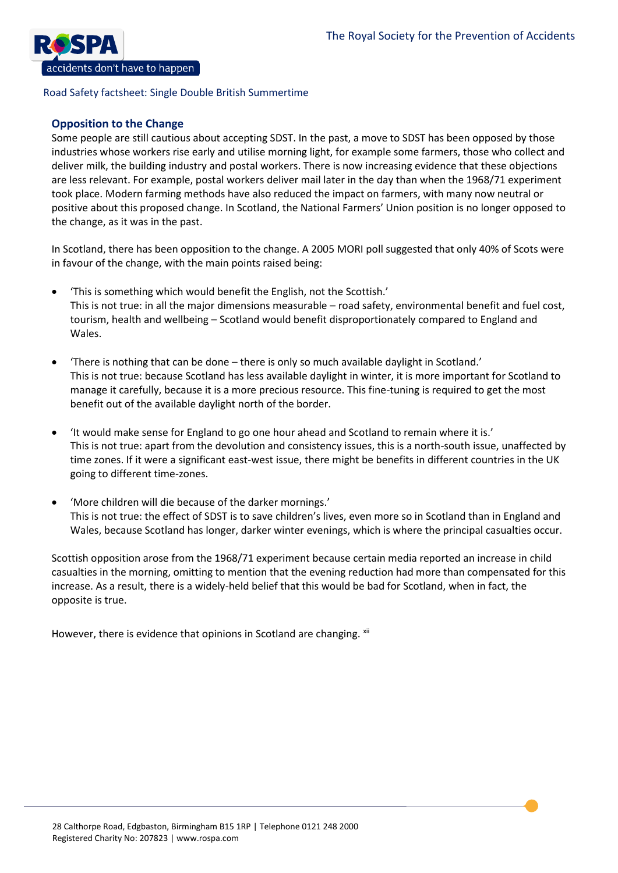

# **Opposition to the Change**

Some people are still cautious about accepting SDST. In the past, a move to SDST has been opposed by those industries whose workers rise early and utilise morning light, for example some farmers, those who collect and deliver milk, the building industry and postal workers. There is now increasing evidence that these objections are less relevant. For example, postal workers deliver mail later in the day than when the 1968/71 experiment took place. Modern farming methods have also reduced the impact on farmers, with many now neutral or positive about this proposed change. In Scotland, the National Farmers' Union position is no longer opposed to the change, as it was in the past.

In Scotland, there has been opposition to the change. A 2005 MORI poll suggested that only 40% of Scots were in favour of the change, with the main points raised being:

- 'This is something which would benefit the English, not the Scottish.' This is not true: in all the major dimensions measurable – road safety, environmental benefit and fuel cost, tourism, health and wellbeing – Scotland would benefit disproportionately compared to England and Wales.
- 'There is nothing that can be done there is only so much available daylight in Scotland.' This is not true: because Scotland has less available daylight in winter, it is more important for Scotland to manage it carefully, because it is a more precious resource. This fine-tuning is required to get the most benefit out of the available daylight north of the border.
- 'It would make sense for England to go one hour ahead and Scotland to remain where it is.' This is not true: apart from the devolution and consistency issues, this is a north-south issue, unaffected by time zones. If it were a significant east-west issue, there might be benefits in different countries in the UK going to different time-zones.
- 'More children will die because of the darker mornings.' This is not true: the effect of SDST is to save children's lives, even more so in Scotland than in England and Wales, because Scotland has longer, darker winter evenings, which is where the principal casualties occur.

Scottish opposition arose from the 1968/71 experiment because certain media reported an increase in child casualties in the morning, omitting to mention that the evening reduction had more than compensated for this increase. As a result, there is a widely-held belief that this would be bad for Scotland, when in fact, the opposite is true.

However, there is evidence that opinions in Scotland are changing. xii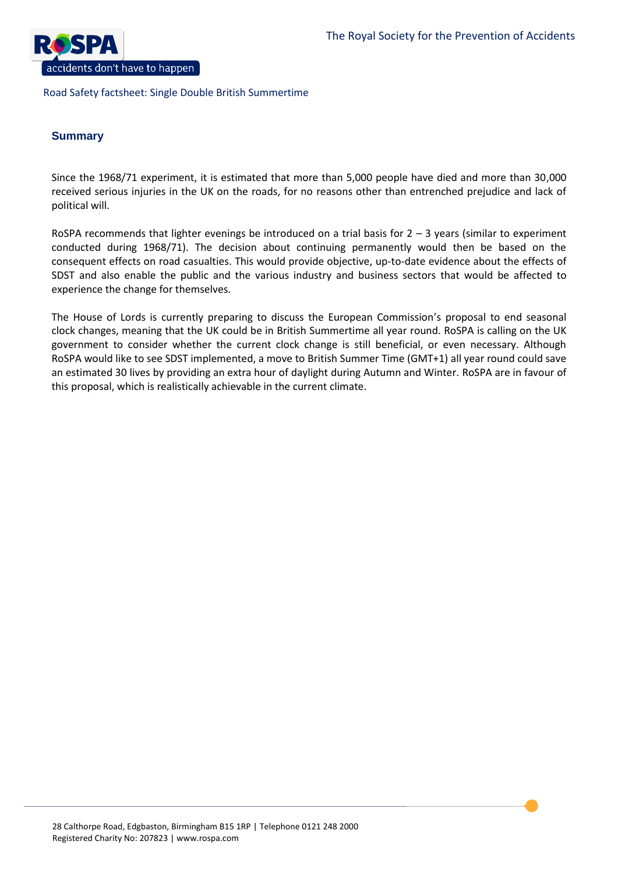

# **Summary**

Since the 1968/71 experiment, it is estimated that more than 5,000 people have died and more than 30,000 received serious injuries in the UK on the roads, for no reasons other than entrenched prejudice and lack of political will.

RoSPA recommends that lighter evenings be introduced on a trial basis for  $2 - 3$  years (similar to experiment conducted during 1968/71). The decision about continuing permanently would then be based on the consequent effects on road casualties. This would provide objective, up-to-date evidence about the effects of SDST and also enable the public and the various industry and business sectors that would be affected to experience the change for themselves.

The House of Lords is currently preparing to discuss the European Commission's proposal to end seasonal clock changes, meaning that the UK could be in British Summertime all year round. RoSPA is calling on the UK government to consider whether the current clock change is still beneficial, or even necessary. Although RoSPA would like to see SDST implemented, a move to British Summer Time (GMT+1) all year round could save an estimated 30 lives by providing an extra hour of daylight during Autumn and Winter. RoSPA are in favour of this proposal, which is realistically achievable in the current climate.